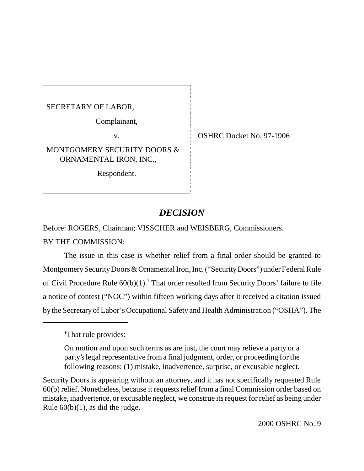SECRETARY OF LABOR,

Complainant,

MONTGOMERY SECURITY DOORS & ORNAMENTAL IRON, INC.,

Respondent.

v. CSHRC Docket No. 97-1906

# *DECISION*

Before: ROGERS, Chairman; VISSCHER and WEISBERG, Commissioners.

BY THE COMMISSION:

The issue in this case is whether relief from a final order should be granted to Montgomery Security Doors & Ornamental Iron, Inc. ("Security Doors") under Federal Rule of Civil Procedure Rule  $60(b)(1)$ .<sup>1</sup> That order resulted from Security Doors' failure to file a notice of contest ("NOC") within fifteen working days after it received a citation issued by the Secretary of Labor's Occupational Safety and Health Administration ("OSHA"). The

Security Doors is appearing without an attorney, and it has not specifically requested Rule 60(b) relief. Nonetheless, because it requests relief from a final Commission order based on mistake, inadvertence, or excusable neglect, we construe its request for relief as being under Rule  $60(b)(1)$ , as did the judge.

<sup>&</sup>lt;sup>1</sup>That rule provides:

On motion and upon such terms as are just, the court may relieve a party or a party's legal representative from a final judgment, order, or proceeding for the following reasons: (1) mistake, inadvertence, surprise, or excusable neglect.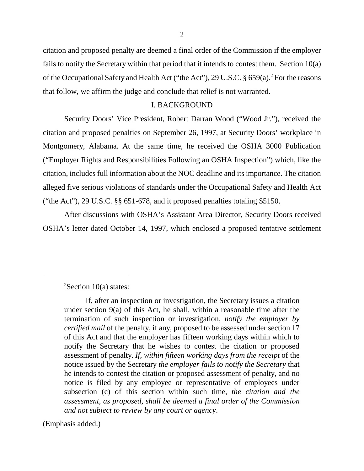citation and proposed penalty are deemed a final order of the Commission if the employer fails to notify the Secretary within that period that it intends to contest them. Section 10(a) of the Occupational Safety and Health Act ("the Act"), 29 U.S.C. § 659(a).<sup>2</sup> For the reasons that follow, we affirm the judge and conclude that relief is not warranted.

## I. BACKGROUND

Security Doors' Vice President, Robert Darran Wood ("Wood Jr."), received the citation and proposed penalties on September 26, 1997, at Security Doors' workplace in Montgomery, Alabama. At the same time, he received the OSHA 3000 Publication ("Employer Rights and Responsibilities Following an OSHA Inspection") which, like the citation, includes full information about the NOC deadline and its importance. The citation alleged five serious violations of standards under the Occupational Safety and Health Act ("the Act"), 29 U.S.C. §§ 651-678, and it proposed penalties totaling \$5150.

After discussions with OSHA's Assistant Area Director, Security Doors received OSHA's letter dated October 14, 1997, which enclosed a proposed tentative settlement

(Emphasis added.)

 $2$ Section 10(a) states:

If, after an inspection or investigation, the Secretary issues a citation under section 9(a) of this Act, he shall, within a reasonable time after the termination of such inspection or investigation, *notify the employer by certified mail* of the penalty, if any, proposed to be assessed under section 17 of this Act and that the employer has fifteen working days within which to notify the Secretary that he wishes to contest the citation or proposed assessment of penalty. *If, within fifteen working days from the receipt* of the notice issued by the Secretary *the employer fails to notify the Secretary* that he intends to contest the citation or proposed assessment of penalty, and no notice is filed by any employee or representative of employees under subsection (c) of this section within such time, *the citation and the assessment, as proposed, shall be deemed a final order of the Commission and not subject to review by any court or agency*.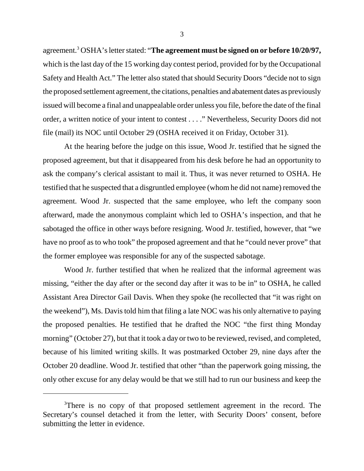agreement.3 OSHA's letter stated: "**The agreement must be signed on or before 10/20/97,** which is the last day of the 15 working day contest period, provided for by the Occupational Safety and Health Act." The letter also stated that should Security Doors "decide not to sign the proposed settlement agreement, the citations, penalties and abatement dates as previously issued will become a final and unappealable order unless you file, before the date of the final order, a written notice of your intent to contest . . . ." Nevertheless, Security Doors did not file (mail) its NOC until October 29 (OSHA received it on Friday, October 31).

At the hearing before the judge on this issue, Wood Jr. testified that he signed the proposed agreement, but that it disappeared from his desk before he had an opportunity to ask the company's clerical assistant to mail it. Thus, it was never returned to OSHA. He testified that he suspected that a disgruntled employee (whom he did not name) removed the agreement. Wood Jr. suspected that the same employee, who left the company soon afterward, made the anonymous complaint which led to OSHA's inspection, and that he sabotaged the office in other ways before resigning. Wood Jr. testified, however, that "we have no proof as to who took" the proposed agreement and that he "could never prove" that the former employee was responsible for any of the suspected sabotage.

Wood Jr. further testified that when he realized that the informal agreement was missing, "either the day after or the second day after it was to be in" to OSHA, he called Assistant Area Director Gail Davis. When they spoke (he recollected that "it was right on the weekend"), Ms. Davis told him that filing a late NOC was his only alternative to paying the proposed penalties. He testified that he drafted the NOC "the first thing Monday morning" (October 27), but that it took a day or two to be reviewed, revised, and completed, because of his limited writing skills. It was postmarked October 29, nine days after the October 20 deadline. Wood Jr. testified that other "than the paperwork going missing, the only other excuse for any delay would be that we still had to run our business and keep the

<sup>&</sup>lt;sup>3</sup>There is no copy of that proposed settlement agreement in the record. The Secretary's counsel detached it from the letter, with Security Doors' consent, before submitting the letter in evidence.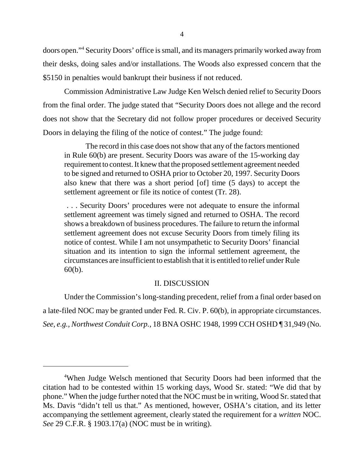doors open."4 Security Doors' office is small, and its managers primarily worked away from their desks, doing sales and/or installations. The Woods also expressed concern that the \$5150 in penalties would bankrupt their business if not reduced.

Commission Administrative Law Judge Ken Welsch denied relief to Security Doors from the final order. The judge stated that "Security Doors does not allege and the record does not show that the Secretary did not follow proper procedures or deceived Security Doors in delaying the filing of the notice of contest." The judge found:

The record in this case does not show that any of the factors mentioned in Rule 60(b) are present. Security Doors was aware of the 15-working day requirement to contest. It knew that the proposed settlement agreement needed to be signed and returned to OSHA prior to October 20, 1997. Security Doors also knew that there was a short period [of] time (5 days) to accept the settlement agreement or file its notice of contest (Tr. 28).

 . . . Security Doors' procedures were not adequate to ensure the informal settlement agreement was timely signed and returned to OSHA. The record shows a breakdown of business procedures. The failure to return the informal settlement agreement does not excuse Security Doors from timely filing its notice of contest. While I am not unsympathetic to Security Doors' financial situation and its intention to sign the informal settlement agreement, the circumstances are insufficient to establish that it is entitled to relief under Rule 60(b).

#### II. DISCUSSION

Under the Commission's long-standing precedent, relief from a final order based on a late-filed NOC may be granted under Fed. R. Civ. P. 60(b), in appropriate circumstances. *See, e.g., Northwest Conduit Corp.*, 18 BNA OSHC 1948, 1999 CCH OSHD ¶ 31,949 (No.

<sup>&</sup>lt;sup>4</sup>When Judge Welsch mentioned that Security Doors had been informed that the citation had to be contested within 15 working days, Wood Sr. stated: "We did that by phone." When the judge further noted that the NOC must be in writing, Wood Sr. stated that Ms. Davis "didn't tell us that." As mentioned, however, OSHA's citation, and its letter accompanying the settlement agreement, clearly stated the requirement for a *written* NOC. *See* 29 C.F.R. § 1903.17(a) (NOC must be in writing).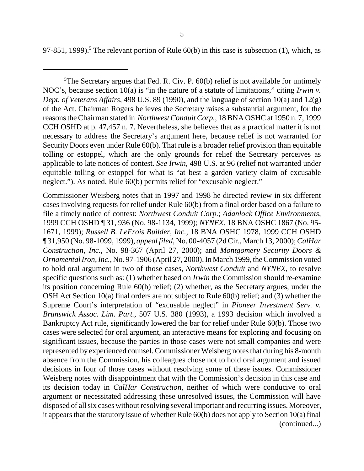97-851, 1999).<sup>5</sup> The relevant portion of Rule  $60(b)$  in this case is subsection (1), which, as

 $5$ The Secretary argues that Fed. R. Civ. P.  $60(b)$  relief is not available for untimely NOC's, because section 10(a) is "in the nature of a statute of limitations," citing *Irwin v. Dept. of Veterans Affairs*, 498 U.S. 89 (1990), and the language of section 10(a) and 12(g) of the Act. Chairman Rogers believes the Secretary raises a substantial argument, for the reasons the Chairman stated in *Northwest Conduit Corp.*, 18 BNA OSHC at 1950 n. 7, 1999 CCH OSHD at p. 47,457 n. 7. Nevertheless, she believes that as a practical matter it is not necessary to address the Secretary's argument here, because relief is not warranted for Security Doors even under Rule 60(b). That rule is a broader relief provision than equitable tolling or estoppel, which are the only grounds for relief the Secretary perceives as applicable to late notices of contest. *See Irwin*, 498 U.S. at 96 (relief not warranted under equitable tolling or estoppel for what is "at best a garden variety claim of excusable neglect."). As noted, Rule 60(b) permits relief for "excusable neglect."

Commissioner Weisberg notes that in 1997 and 1998 he directed review in six different cases involving requests for relief under Rule 60(b) from a final order based on a failure to file a timely notice of contest: *Northwest Conduit Corp.*; *Adanlock Office Environments*, 1999 CCH OSHD ¶ 31, 936 (No. 98-1134, 1999); *NYNEX*, 18 BNA OSHC 1867 (No. 95- 1671, 1999); *Russell B. LeFrois Builder, Inc.*, 18 BNA OSHC 1978, 1999 CCH OSHD ¶ 31,950 (No. 98-1099, 1999), *appeal filed*, No. 00-4057 (2d Cir., March 13, 2000); *CalHar Construction, Inc.*, No. 98-367 (April 27, 2000); and *Montgomery Security Doors & Ornamental Iron, Inc.*, No. 97-1906 (April 27, 2000). In March 1999, the Commission voted to hold oral argument in two of those cases, *Northwest Conduit* and *NYNEX*, to resolve specific questions such as: (1) whether based on *Irwin* the Commission should re-examine its position concerning Rule 60(b) relief; (2) whether, as the Secretary argues, under the OSH Act Section 10(a) final orders are not subject to Rule 60(b) relief; and (3) whether the Supreme Court's interpretation of "excusable neglect" in *Pioneer Investment Serv. v. Brunswick Assoc. Lim. Part.*, 507 U.S. 380 (1993), a 1993 decision which involved a Bankruptcy Act rule, significantly lowered the bar for relief under Rule 60(b). Those two cases were selected for oral argument, an interactive means for exploring and focusing on significant issues, because the parties in those cases were not small companies and were represented by experienced counsel. Commissioner Weisberg notes that during his 8-month absence from the Commission, his colleagues chose not to hold oral argument and issued decisions in four of those cases without resolving some of these issues. Commissioner Weisberg notes with disappointment that with the Commission's decision in this case and its decision today in *CalHar Construction*, neither of which were conducive to oral argument or necessitated addressing these unresolved issues, the Commission will have disposed of all six cases without resolving several important and recurring issues. Moreover, it appears that the statutory issue of whether Rule 60(b) does not apply to Section 10(a) final (continued...)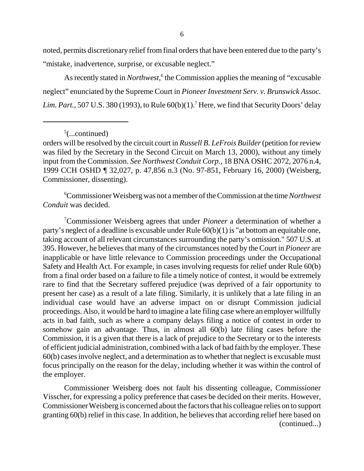noted, permits discretionary relief from final orders that have been entered due to the party's "mistake, inadvertence, surprise, or excusable neglect."

As recently stated in *Northwest*,<sup>6</sup> the Commission applies the meaning of "excusable neglect" enunciated by the Supreme Court in *Pioneer Investment Serv. v. Brunswick Assoc.* Lim. Part., 507 U.S. 380 (1993), to Rule  $60(b)(1)$ .<sup>7</sup> Here, we find that Security Doors' delay

 $5$ (...continued)

6 Commissioner Weisberg was not a member of the Commission at the time *Northwest Conduit* was decided.

7 Commissioner Weisberg agrees that under *Pioneer* a determination of whether a party's neglect of a deadline is excusable under Rule 60(b)(1) is "at bottom an equitable one, taking account of all relevant circumstances surrounding the party's omission." 507 U.S. at 395. However, he believes that many of the circumstances noted by the Court in *Pioneer* are inapplicable or have little relevance to Commission proceedings under the Occupational Safety and Health Act. For example, in cases involving requests for relief under Rule 60(b) from a final order based on a failure to file a timely notice of contest, it would be extremely rare to find that the Secretary suffered prejudice (was deprived of a fair opportunity to present her case) as a result of a late filing. Similarly, it is unlikely that a late filing in an individual case would have an adverse impact on or disrupt Commission judicial proceedings. Also, it would be hard to imagine a late filing case where an employer willfully acts in bad faith, such as where a company delays filing a notice of contest in order to somehow gain an advantage. Thus, in almost all 60(b) late filing cases before the Commission, it is a given that there is a lack of prejudice to the Secretary or to the interests of efficient judicial administration, combined with a lack of bad faith by the employer. These 60(b) cases involve neglect, and a determination as to whether that neglect is excusable must focus principally on the reason for the delay, including whether it was within the control of the employer.

Commissioner Weisberg does not fault his dissenting colleague, Commissioner Visscher, for expressing a policy preference that cases be decided on their merits. However, Commissioner Weisberg is concerned about the factors that his colleague relies on to support granting 60(b) relief in this case. In addition, he believes that according relief here based on (continued...)

orders will be resolved by the circuit court in *Russell B. LeFrois Builder* (petition for review was filed by the Secretary in the Second Circuit on March 13, 2000), without any timely input from the Commission. *See Northwest Conduit Corp.*, 18 BNA OSHC 2072, 2076 n.4, 1999 CCH OSHD ¶ 32,027, p. 47,856 n.3 (No. 97-851, February 16, 2000) (Weisberg, Commissioner, dissenting).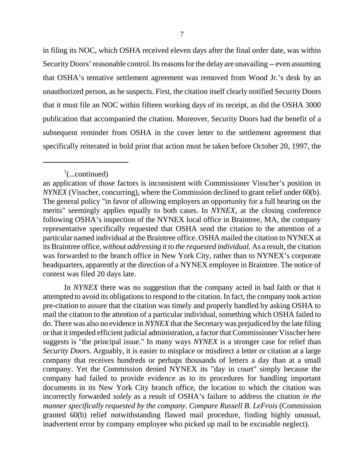in filing its NOC, which OSHA received eleven days after the final order date, was within Security Doors' reasonable control. Its reasons for the delay are unavailing -- even assuming that OSHA's tentative settlement agreement was removed from Wood Jr.'s desk by an unauthorized person, as he suspects. First, the citation itself clearly notified Security Doors that it must file an NOC within fifteen working days of its receipt, as did the OSHA 3000 publication that accompanied the citation. Moreover, Security Doors had the benefit of a subsequent reminder from OSHA in the cover letter to the settlement agreement that specifically reiterated in bold print that action must be taken before October 20, 1997, the

In *NYNEX* there was no suggestion that the company acted in bad faith or that it attempted to avoid its obligations to respond to the citation. In fact, the company took action pre-citation to assure that the citation was timely and properly handled by asking OSHA to mail the citation to the attention of a particular individual, something which OSHA failed to do. There was also no evidence in *NYNEX* that the Secretary was prejudiced by the late filing or that it impeded efficient judicial administration, a factor that Commissioner Visscher here suggests is "the principal issue." In many ways *NYNEX* is a stronger case for relief than *Security Doors.* Arguably, it is easier to misplace or misdirect a letter or citation at a large company that receives hundreds or perhaps thousands of letters a day than at a small company. Yet the Commission denied NYNEX its "day in court" simply because the company had failed to provide evidence as to its procedures for handling important documents in its New York City branch office, the location to which the citation was incorrectly forwarded *solely* as a result of OSHA's failure to address the citation *in the manner specifically requested by the company*. *Compare Russell B. LeFrois* (Commission granted 60(b) relief notwithstanding flawed mail procedure, finding highly unusual, inadvertent error by company employee who picked up mail to be excusable neglect).

 $7$ (...continued)

an application of those factors is inconsistent with Commissioner Visscher's position in *NYNEX* (Visscher, concurring), where the Commission declined to grant relief under 60(b). The general policy "in favor of allowing employers an opportunity for a full hearing on the merits" seemingly applies equally to both cases. In *NYNEX*, at the closing conference following OSHA's inspection of the NYNEX local office in Braintree, MA, the company representative specifically requested that OSHA send the citation to the attention of a particular named individual at the Braintree office. OSHA mailed the citation to NYNEX at its Braintree office, *without addressing it to the requested individual.* As a result, the citation was forwarded to the branch office in New York City, rather than to NYNEX's corporate headquarters, apparently at the direction of a NYNEX employee in Braintree. The notice of contest was filed 20 days late.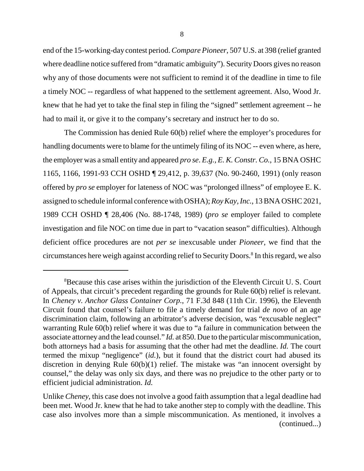end of the 15-working-day contest period. *Compare Pioneer*, 507 U.S. at 398 (relief granted where deadline notice suffered from "dramatic ambiguity"). Security Doors gives no reason why any of those documents were not sufficient to remind it of the deadline in time to file a timely NOC -- regardless of what happened to the settlement agreement. Also, Wood Jr. knew that he had yet to take the final step in filing the "signed" settlement agreement -- he had to mail it, or give it to the company's secretary and instruct her to do so.

The Commission has denied Rule 60(b) relief where the employer's procedures for handling documents were to blame for the untimely filing of its NOC -- even where, as here, the employer was a small entity and appeared *pro se*. *E.g., E. K. Constr. Co.*, 15 BNA OSHC 1165, 1166, 1991-93 CCH OSHD ¶ 29,412, p. 39,637 (No. 90-2460, 1991) (only reason offered by *pro se* employer for lateness of NOC was "prolonged illness" of employee E. K. assigned to schedule informal conference with OSHA); *Roy Kay, Inc.*, 13 BNA OSHC 2021, 1989 CCH OSHD ¶ 28,406 (No. 88-1748, 1989) (*pro se* employer failed to complete investigation and file NOC on time due in part to "vacation season" difficulties). Although deficient office procedures are not *per se* inexcusable under *Pioneer*, we find that the circumstances here weigh against according relief to Security Doors.<sup>8</sup> In this regard, we also

<sup>&</sup>lt;sup>8</sup>Because this case arises within the jurisdiction of the Eleventh Circuit U.S. Court of Appeals, that circuit's precedent regarding the grounds for Rule 60(b) relief is relevant. In *Cheney v. Anchor Glass Container Corp.*, 71 F.3d 848 (11th Cir. 1996), the Eleventh Circuit found that counsel's failure to file a timely demand for trial *de novo* of an age discrimination claim, following an arbitrator's adverse decision, was "excusable neglect" warranting Rule 60(b) relief where it was due to "a failure in communication between the associate attorney and the lead counsel." *Id.* at 850. Due to the particular miscommunication, both attorneys had a basis for assuming that the other had met the deadline. *Id.* The court termed the mixup "negligence" (*id.*), but it found that the district court had abused its discretion in denying Rule 60(b)(1) relief. The mistake was "an innocent oversight by counsel," the delay was only six days, and there was no prejudice to the other party or to efficient judicial administration. *Id.*

Unlike *Cheney*, this case does not involve a good faith assumption that a legal deadline had been met. Wood Jr. knew that he had to take another step to comply with the deadline. This case also involves more than a simple miscommunication. As mentioned, it involves a (continued...)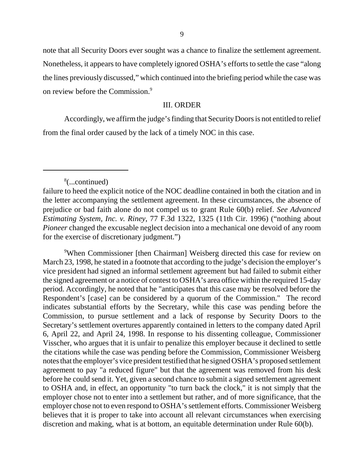note that all Security Doors ever sought was a chance to finalize the settlement agreement. Nonetheless, it appears to have completely ignored OSHA's efforts to settle the case "along the lines previously discussed," which continued into the briefing period while the case was on review before the Commission.<sup>9</sup>

### III. ORDER

Accordingly, we affirm the judge's finding that Security Doors is not entitled to relief from the final order caused by the lack of a timely NOC in this case.

9 When Commissioner [then Chairman] Weisberg directed this case for review on March 23, 1998, he stated in a footnote that according to the judge's decision the employer's vice president had signed an informal settlement agreement but had failed to submit either the signed agreement or a notice of contest to OSHA's area office within the required 15-day period. Accordingly, he noted that he "anticipates that this case may be resolved before the Respondent's [case] can be considered by a quorum of the Commission." The record indicates substantial efforts by the Secretary, while this case was pending before the Commission, to pursue settlement and a lack of response by Security Doors to the Secretary's settlement overtures apparently contained in letters to the company dated April 6, April 22, and April 24, 1998. In response to his dissenting colleague, Commissioner Visscher, who argues that it is unfair to penalize this employer because it declined to settle the citations while the case was pending before the Commission, Commissioner Weisberg notes that the employer's vice president testified that he signed OSHA's proposed settlement agreement to pay "a reduced figure" but that the agreement was removed from his desk before he could send it. Yet, given a second chance to submit a signed settlement agreement to OSHA and, in effect, an opportunity "to turn back the clock," it is not simply that the employer chose not to enter into a settlement but rather, and of more significance, that the employer chose not to even respond to OSHA's settlement efforts. Commissioner Weisberg believes that it is proper to take into account all relevant circumstances when exercising discretion and making, what is at bottom, an equitable determination under Rule 60(b).

<sup>8</sup> (...continued)

failure to heed the explicit notice of the NOC deadline contained in both the citation and in the letter accompanying the settlement agreement. In these circumstances, the absence of prejudice or bad faith alone do not compel us to grant Rule 60(b) relief. *See Advanced Estimating System, Inc. v. Riney*, 77 F.3d 1322, 1325 (11th Cir. 1996) ("nothing about *Pioneer* changed the excusable neglect decision into a mechanical one devoid of any room for the exercise of discretionary judgment.")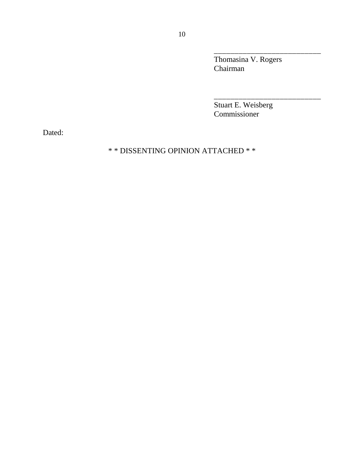Thomasina V. Rogers Chairman

\_\_\_\_\_\_\_\_\_\_\_\_\_\_\_\_\_\_\_\_\_\_\_\_\_\_

\_\_\_\_\_\_\_\_\_\_\_\_\_\_\_\_\_\_\_\_\_\_\_\_\_\_

Stuart E. Weisberg Commissioner

Dated:

# \* \* DISSENTING OPINION ATTACHED \* \*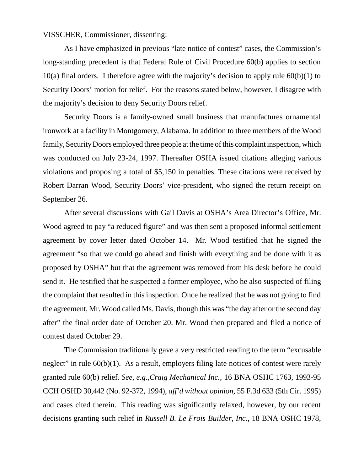VISSCHER, Commissioner, dissenting:

As I have emphasized in previous "late notice of contest" cases, the Commission's long-standing precedent is that Federal Rule of Civil Procedure 60(b) applies to section 10(a) final orders. I therefore agree with the majority's decision to apply rule  $60(b)(1)$  to Security Doors' motion for relief. For the reasons stated below, however, I disagree with the majority's decision to deny Security Doors relief.

Security Doors is a family-owned small business that manufactures ornamental ironwork at a facility in Montgomery, Alabama. In addition to three members of the Wood family, Security Doors employed three people at the time of this complaint inspection, which was conducted on July 23-24, 1997. Thereafter OSHA issued citations alleging various violations and proposing a total of \$5,150 in penalties. These citations were received by Robert Darran Wood, Security Doors' vice-president, who signed the return receipt on September 26.

After several discussions with Gail Davis at OSHA's Area Director's Office, Mr. Wood agreed to pay "a reduced figure" and was then sent a proposed informal settlement agreement by cover letter dated October 14. Mr. Wood testified that he signed the agreement "so that we could go ahead and finish with everything and be done with it as proposed by OSHA" but that the agreement was removed from his desk before he could send it. He testified that he suspected a former employee, who he also suspected of filing the complaint that resulted in this inspection. Once he realized that he was not going to find the agreement, Mr. Wood called Ms. Davis, though this was "the day after or the second day after" the final order date of October 20. Mr. Wood then prepared and filed a notice of contest dated October 29.

The Commission traditionally gave a very restricted reading to the term "excusable neglect" in rule 60(b)(1). As a result, employers filing late notices of contest were rarely granted rule 60(b) relief. *See, e.g.,Craig Mechanical Inc.*, 16 BNA OSHC 1763, 1993-95 CCH OSHD 30,442 (No. 92-372, 1994), *aff'd without opinion*, 55 F.3d 633 (5th Cir. 1995) and cases cited therein. This reading was significantly relaxed, however, by our recent decisions granting such relief in *Russell B. Le Frois Builder, Inc*., 18 BNA OSHC 1978,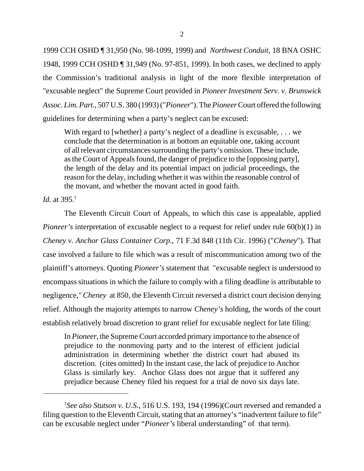1999 CCH OSHD ¶ 31,950 (No. 98-1099, 1999) and *Northwest Conduit*, 18 BNA OSHC 1948, 1999 CCH OSHD ¶ 31,949 (No. 97-851, 1999). In both cases, we declined to apply the Commission's traditional analysis in light of the more flexible interpretation of "excusable neglect" the Supreme Court provided in *Pioneer Investment Serv. v. Brunswick Assoc. Lim. Part.*, 507 U.S. 380 (1993) ("*Pioneer*"). The *Pioneer* Court offered the following guidelines for determining when a party's neglect can be excused:

With regard to [whether] a party's neglect of a deadline is excusable, ... we conclude that the determination is at bottom an equitable one, taking account of all relevant circumstances surrounding the party's omission. These include, as the Court of Appeals found, the danger of prejudice to the [opposing party], the length of the delay and its potential impact on judicial proceedings, the reason for the delay, including whether it was within the reasonable control of the movant, and whether the movant acted in good faith.

*Id.* at  $395.1$ 

The Eleventh Circuit Court of Appeals, to which this case is appealable, applied *Pioneer's* interpretation of excusable neglect to a request for relief under rule 60(b)(1) in *Cheney v. Anchor Glass Container Corp*., 71 F.3d 848 (11th Cir. 1996) ("*Cheney*"). That case involved a failure to file which was a result of miscommunication among two of the plaintiff's attorneys. Quoting *Pioneer's* statement that "excusable neglect is understood to encompass situations in which the failure to comply with a filing deadline is attributable to negligence," *Cheney* at 850, the Eleventh Circuit reversed a district court decision denying relief. Although the majority attempts to narrow *Cheney's* holding, the words of the court establish relatively broad discretion to grant relief for excusable neglect for late filing:

In *Pioneer*, the Supreme Court accorded primary importance to the absence of prejudice to the nonmoving party and to the interest of efficient judicial administration in determining whether the district court had abused its discretion. (cites omitted) In the instant case, the lack of prejudice to Anchor Glass is similarly key. Anchor Glass does not argue that it suffered any prejudice because Cheney filed his request for a trial de novo six days late.

<sup>1</sup> *See also Stutson v. U.S.*, 516 U.S. 193, 194 (1996)(Court reversed and remanded a filing question to the Eleventh Circuit, stating that an attorney's "inadvertent failure to file" can be excusable neglect under "*Pioneer's* liberal understanding" of that term).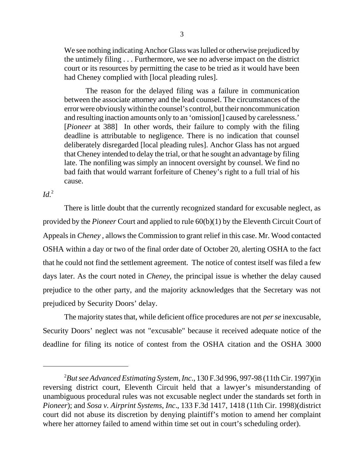We see nothing indicating Anchor Glass was lulled or otherwise prejudiced by the untimely filing . . . Furthermore, we see no adverse impact on the district court or its resources by permitting the case to be tried as it would have been had Cheney complied with [local pleading rules].

The reason for the delayed filing was a failure in communication between the associate attorney and the lead counsel. The circumstances of the error were obviously within the counsel's control, but their noncommunication and resulting inaction amounts only to an 'omission[] caused by carelessness.' [*Pioneer* at 388] In other words, their failure to comply with the filing deadline is attributable to negligence. There is no indication that counsel deliberately disregarded [local pleading rules]. Anchor Glass has not argued that Cheney intended to delay the trial, or that he sought an advantage by filing late. The nonfiling was simply an innocent oversight by counsel. We find no bad faith that would warrant forfeiture of Cheney's right to a full trial of his cause.

 $Id.^2$ 

There is little doubt that the currently recognized standard for excusable neglect, as provided by the *Pioneer* Court and applied to rule 60(b)(1) by the Eleventh Circuit Court of Appeals in *Cheney ,* allows the Commission to grant relief in this case. Mr. Wood contacted OSHA within a day or two of the final order date of October 20, alerting OSHA to the fact that he could not find the settlement agreement. The notice of contest itself was filed a few days later. As the court noted in *Cheney*, the principal issue is whether the delay caused prejudice to the other party, and the majority acknowledges that the Secretary was not prejudiced by Security Doors' delay.

The majority states that, while deficient office procedures are not *per se* inexcusable, Security Doors' neglect was not "excusable" because it received adequate notice of the deadline for filing its notice of contest from the OSHA citation and the OSHA 3000

<sup>2</sup> *But see Advanced Estimating System, Inc*., 130 F.3d 996, 997-98 (11th Cir. 1997)(in reversing district court, Eleventh Circuit held that a lawyer's misunderstanding of unambiguous procedural rules was not excusable neglect under the standards set forth in *Pioneer*); and *Sosa v. Airprint Systems, Inc*., 133 F.3d 1417, 1418 (11th Cir. 1998)(district court did not abuse its discretion by denying plaintiff's motion to amend her complaint where her attorney failed to amend within time set out in court's scheduling order).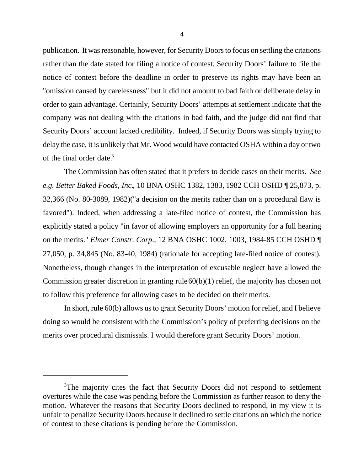publication. It was reasonable, however, for Security Doors to focus on settling the citations rather than the date stated for filing a notice of contest. Security Doors' failure to file the notice of contest before the deadline in order to preserve its rights may have been an "omission caused by carelessness" but it did not amount to bad faith or deliberate delay in order to gain advantage. Certainly, Security Doors' attempts at settlement indicate that the company was not dealing with the citations in bad faith, and the judge did not find that Security Doors' account lacked credibility. Indeed, if Security Doors was simply trying to delay the case, it is unlikely that Mr. Wood would have contacted OSHA within a day or two of the final order date. $3$ 

The Commission has often stated that it prefers to decide cases on their merits. *See e.g. Better Baked Foods, Inc.*, 10 BNA OSHC 1382, 1383, 1982 CCH OSHD ¶ 25,873, p. 32,366 (No. 80-3089, 1982)("a decision on the merits rather than on a procedural flaw is favored"). Indeed, when addressing a late-filed notice of contest, the Commission has explicitly stated a policy "in favor of allowing employers an opportunity for a full hearing on the merits." *Elmer Constr. Corp*., 12 BNA OSHC 1002, 1003, 1984-85 CCH OSHD ¶ 27,050, p. 34,845 (No. 83-40, 1984) (rationale for accepting late-filed notice of contest). Nonetheless, though changes in the interpretation of excusable neglect have allowed the Commission greater discretion in granting rule 60(b)(1) relief, the majority has chosen not to follow this preference for allowing cases to be decided on their merits.

In short, rule 60(b) allows us to grant Security Doors' motion for relief, and I believe doing so would be consistent with the Commission's policy of preferring decisions on the merits over procedural dismissals. I would therefore grant Security Doors' motion.

<sup>&</sup>lt;sup>3</sup>The majority cites the fact that Security Doors did not respond to settlement overtures while the case was pending before the Commission as further reason to deny the motion. Whatever the reasons that Security Doors declined to respond, in my view it is unfair to penalize Security Doors because it declined to settle citations on which the notice of contest to these citations is pending before the Commission.